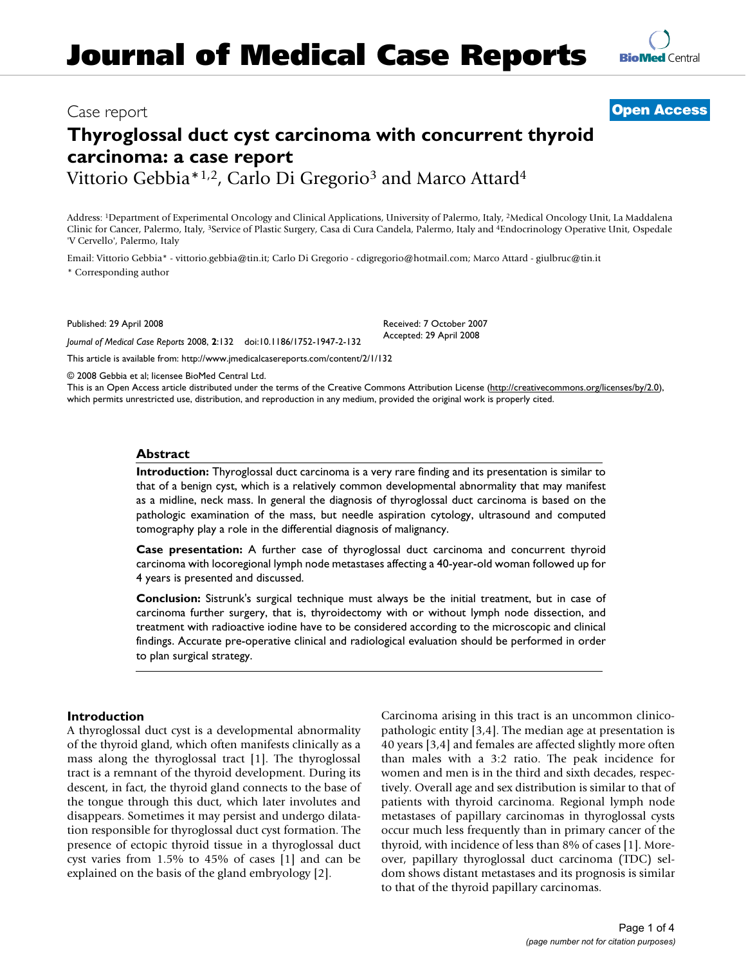# **Thyroglossal duct cyst carcinoma with concurrent thyroid carcinoma: a case report**

Vittorio Gebbia<sup>\*1,2</sup>, Carlo Di Gregorio<sup>3</sup> and Marco Attard<sup>4</sup>

Address: 1Department of Experimental Oncology and Clinical Applications, University of Palermo, Italy, 2Medical Oncology Unit, La Maddalena Clinic for Cancer, Palermo, Italy, 3Service of Plastic Surgery, Casa di Cura Candela, Palermo, Italy and 4Endocrinology Operative Unit, Ospedale 'V Cervello', Palermo, Italy

> Received: 7 October 2007 Accepted: 29 April 2008

Email: Vittorio Gebbia\* - vittorio.gebbia@tin.it; Carlo Di Gregorio - cdigregorio@hotmail.com; Marco Attard - giulbruc@tin.it \* Corresponding author

Published: 29 April 2008

*Journal of Medical Case Reports* 2008, **2**:132 doi:10.1186/1752-1947-2-132

[This article is available from: http://www.jmedicalcasereports.com/content/2/1/132](http://www.jmedicalcasereports.com/content/2/1/132)

© 2008 Gebbia et al; licensee BioMed Central Ltd.

This is an Open Access article distributed under the terms of the Creative Commons Attribution License [\(http://creativecommons.org/licenses/by/2.0\)](http://creativecommons.org/licenses/by/2.0), which permits unrestricted use, distribution, and reproduction in any medium, provided the original work is properly cited.

# **Abstract**

**Introduction:** Thyroglossal duct carcinoma is a very rare finding and its presentation is similar to that of a benign cyst, which is a relatively common developmental abnormality that may manifest as a midline, neck mass. In general the diagnosis of thyroglossal duct carcinoma is based on the pathologic examination of the mass, but needle aspiration cytology, ultrasound and computed tomography play a role in the differential diagnosis of malignancy.

**Case presentation:** A further case of thyroglossal duct carcinoma and concurrent thyroid carcinoma with locoregional lymph node metastases affecting a 40-year-old woman followed up for 4 years is presented and discussed.

**Conclusion:** Sistrunk's surgical technique must always be the initial treatment, but in case of carcinoma further surgery, that is, thyroidectomy with or without lymph node dissection, and treatment with radioactive iodine have to be considered according to the microscopic and clinical findings. Accurate pre-operative clinical and radiological evaluation should be performed in order to plan surgical strategy.

# **Introduction**

A thyroglossal duct cyst is a developmental abnormality of the thyroid gland, which often manifests clinically as a mass along the thyroglossal tract [1]. The thyroglossal tract is a remnant of the thyroid development. During its descent, in fact, the thyroid gland connects to the base of the tongue through this duct, which later involutes and disappears. Sometimes it may persist and undergo dilatation responsible for thyroglossal duct cyst formation. The presence of ectopic thyroid tissue in a thyroglossal duct cyst varies from 1.5% to 45% of cases [1] and can be explained on the basis of the gland embryology [2].

Carcinoma arising in this tract is an uncommon clinicopathologic entity [3,4]. The median age at presentation is 40 years [3,4] and females are affected slightly more often than males with a 3:2 ratio. The peak incidence for women and men is in the third and sixth decades, respectively. Overall age and sex distribution is similar to that of patients with thyroid carcinoma. Regional lymph node metastases of papillary carcinomas in thyroglossal cysts occur much less frequently than in primary cancer of the thyroid, with incidence of less than 8% of cases [1]. Moreover, papillary thyroglossal duct carcinoma (TDC) seldom shows distant metastases and its prognosis is similar to that of the thyroid papillary carcinomas.



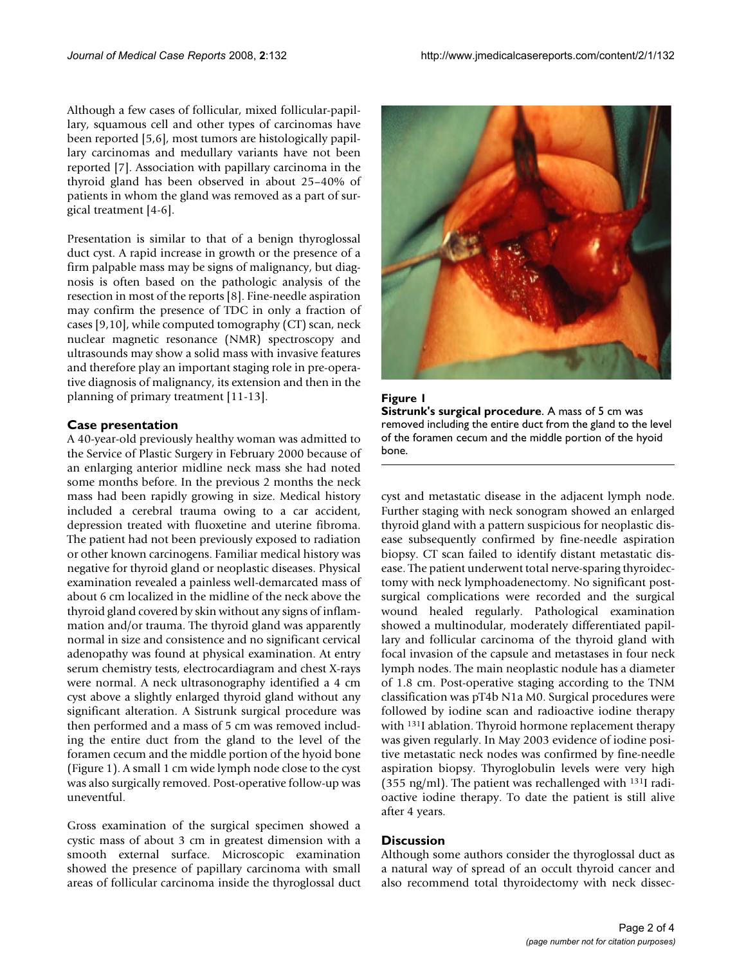Although a few cases of follicular, mixed follicular-papillary, squamous cell and other types of carcinomas have been reported [5,6], most tumors are histologically papillary carcinomas and medullary variants have not been reported [7]. Association with papillary carcinoma in the thyroid gland has been observed in about 25–40% of patients in whom the gland was removed as a part of surgical treatment [4-6].

Presentation is similar to that of a benign thyroglossal duct cyst. A rapid increase in growth or the presence of a firm palpable mass may be signs of malignancy, but diagnosis is often based on the pathologic analysis of the resection in most of the reports [8]. Fine-needle aspiration may confirm the presence of TDC in only a fraction of cases [9,10], while computed tomography (CT) scan, neck nuclear magnetic resonance (NMR) spectroscopy and ultrasounds may show a solid mass with invasive features and therefore play an important staging role in pre-operative diagnosis of malignancy, its extension and then in the planning of primary treatment [11-13].

#### **Case presentation**

A 40-year-old previously healthy woman was admitted to the Service of Plastic Surgery in February 2000 because of an enlarging anterior midline neck mass she had noted some months before. In the previous 2 months the neck mass had been rapidly growing in size. Medical history included a cerebral trauma owing to a car accident, depression treated with fluoxetine and uterine fibroma. The patient had not been previously exposed to radiation or other known carcinogens. Familiar medical history was negative for thyroid gland or neoplastic diseases. Physical examination revealed a painless well-demarcated mass of about 6 cm localized in the midline of the neck above the thyroid gland covered by skin without any signs of inflammation and/or trauma. The thyroid gland was apparently normal in size and consistence and no significant cervical adenopathy was found at physical examination. At entry serum chemistry tests, electrocardiagram and chest X-rays were normal. A neck ultrasonography identified a 4 cm cyst above a slightly enlarged thyroid gland without any significant alteration. A Sistrunk surgical procedure was then performed and a mass of 5 cm was removed including the entire duct from the gland to the level of the foramen cecum and the middle portion of the hyoid bone (Figure 1). A small 1 cm wide lymph node close to the cyst was also surgically removed. Post-operative follow-up was uneventful.

Gross examination of the surgical specimen showed a cystic mass of about 3 cm in greatest dimension with a smooth external surface. Microscopic examination showed the presence of papillary carcinoma with small areas of follicular carcinoma inside the thyroglossal duct





cyst and metastatic disease in the adjacent lymph node. Further staging with neck sonogram showed an enlarged thyroid gland with a pattern suspicious for neoplastic disease subsequently confirmed by fine-needle aspiration biopsy. CT scan failed to identify distant metastatic disease. The patient underwent total nerve-sparing thyroidectomy with neck lymphoadenectomy. No significant postsurgical complications were recorded and the surgical wound healed regularly. Pathological examination showed a multinodular, moderately differentiated papillary and follicular carcinoma of the thyroid gland with focal invasion of the capsule and metastases in four neck lymph nodes. The main neoplastic nodule has a diameter of 1.8 cm. Post-operative staging according to the TNM classification was pT4b N1a M0. Surgical procedures were followed by iodine scan and radioactive iodine therapy with <sup>131</sup>I ablation. Thyroid hormone replacement therapy was given regularly. In May 2003 evidence of iodine positive metastatic neck nodes was confirmed by fine-needle aspiration biopsy. Thyroglobulin levels were very high (355 ng/ml). The patient was rechallenged with 131I radioactive iodine therapy. To date the patient is still alive after 4 years.

#### **Discussion**

Although some authors consider the thyroglossal duct as a natural way of spread of an occult thyroid cancer and also recommend total thyroidectomy with neck dissec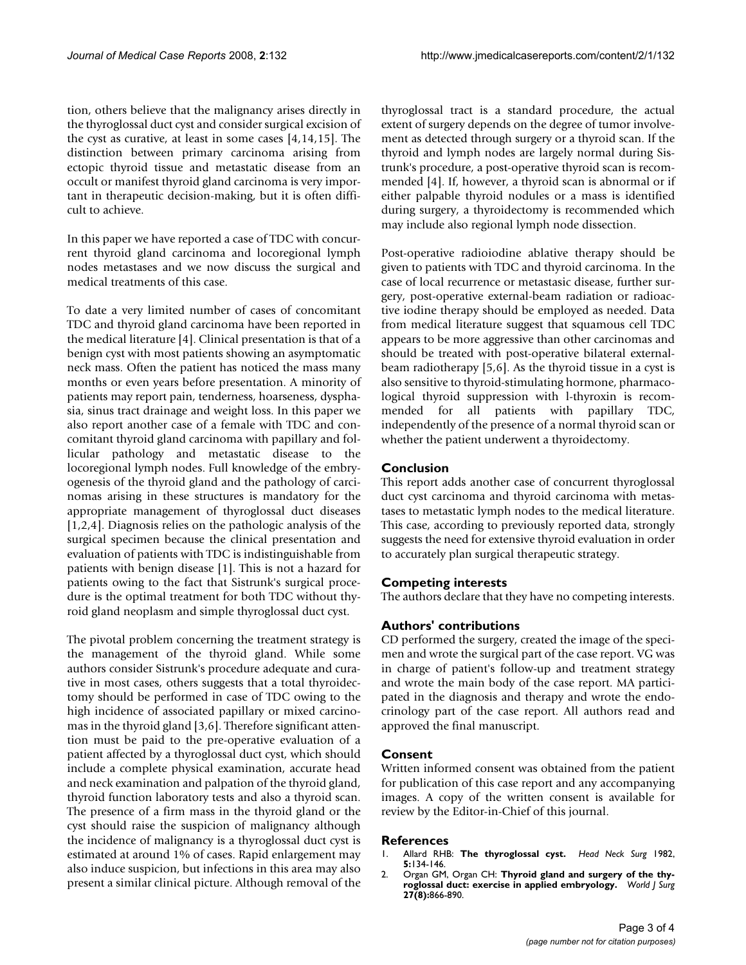tion, others believe that the malignancy arises directly in the thyroglossal duct cyst and consider surgical excision of the cyst as curative, at least in some cases [4,14,15]. The distinction between primary carcinoma arising from ectopic thyroid tissue and metastatic disease from an occult or manifest thyroid gland carcinoma is very important in therapeutic decision-making, but it is often difficult to achieve.

In this paper we have reported a case of TDC with concurrent thyroid gland carcinoma and locoregional lymph nodes metastases and we now discuss the surgical and medical treatments of this case.

To date a very limited number of cases of concomitant TDC and thyroid gland carcinoma have been reported in the medical literature [4]. Clinical presentation is that of a benign cyst with most patients showing an asymptomatic neck mass. Often the patient has noticed the mass many months or even years before presentation. A minority of patients may report pain, tenderness, hoarseness, dysphasia, sinus tract drainage and weight loss. In this paper we also report another case of a female with TDC and concomitant thyroid gland carcinoma with papillary and follicular pathology and metastatic disease to the locoregional lymph nodes. Full knowledge of the embryogenesis of the thyroid gland and the pathology of carcinomas arising in these structures is mandatory for the appropriate management of thyroglossal duct diseases [1,2,4]. Diagnosis relies on the pathologic analysis of the surgical specimen because the clinical presentation and evaluation of patients with TDC is indistinguishable from patients with benign disease [1]. This is not a hazard for patients owing to the fact that Sistrunk's surgical procedure is the optimal treatment for both TDC without thyroid gland neoplasm and simple thyroglossal duct cyst.

The pivotal problem concerning the treatment strategy is the management of the thyroid gland. While some authors consider Sistrunk's procedure adequate and curative in most cases, others suggests that a total thyroidectomy should be performed in case of TDC owing to the high incidence of associated papillary or mixed carcinomas in the thyroid gland [3,6]. Therefore significant attention must be paid to the pre-operative evaluation of a patient affected by a thyroglossal duct cyst, which should include a complete physical examination, accurate head and neck examination and palpation of the thyroid gland, thyroid function laboratory tests and also a thyroid scan. The presence of a firm mass in the thyroid gland or the cyst should raise the suspicion of malignancy although the incidence of malignancy is a thyroglossal duct cyst is estimated at around 1% of cases. Rapid enlargement may also induce suspicion, but infections in this area may also present a similar clinical picture. Although removal of the thyroglossal tract is a standard procedure, the actual extent of surgery depends on the degree of tumor involvement as detected through surgery or a thyroid scan. If the thyroid and lymph nodes are largely normal during Sistrunk's procedure, a post-operative thyroid scan is recommended [4]. If, however, a thyroid scan is abnormal or if either palpable thyroid nodules or a mass is identified during surgery, a thyroidectomy is recommended which may include also regional lymph node dissection.

Post-operative radioiodine ablative therapy should be given to patients with TDC and thyroid carcinoma. In the case of local recurrence or metastasic disease, further surgery, post-operative external-beam radiation or radioactive iodine therapy should be employed as needed. Data from medical literature suggest that squamous cell TDC appears to be more aggressive than other carcinomas and should be treated with post-operative bilateral externalbeam radiotherapy [5,6]. As the thyroid tissue in a cyst is also sensitive to thyroid-stimulating hormone, pharmacological thyroid suppression with l-thyroxin is recommended for all patients with papillary TDC, independently of the presence of a normal thyroid scan or whether the patient underwent a thyroidectomy.

# **Conclusion**

This report adds another case of concurrent thyroglossal duct cyst carcinoma and thyroid carcinoma with metastases to metastatic lymph nodes to the medical literature. This case, according to previously reported data, strongly suggests the need for extensive thyroid evaluation in order to accurately plan surgical therapeutic strategy.

# **Competing interests**

The authors declare that they have no competing interests.

# **Authors' contributions**

CD performed the surgery, created the image of the specimen and wrote the surgical part of the case report. VG was in charge of patient's follow-up and treatment strategy and wrote the main body of the case report. MA participated in the diagnosis and therapy and wrote the endocrinology part of the case report. All authors read and approved the final manuscript.

#### **Consent**

Written informed consent was obtained from the patient for publication of this case report and any accompanying images. A copy of the written consent is available for review by the Editor-in-Chief of this journal.

#### **References**

- 1. Allard RHB: **[The thyroglossal cyst.](http://www.ncbi.nlm.nih.gov/entrez/query.fcgi?cmd=Retrieve&db=PubMed&dopt=Abstract&list_uids=7169333)** *Head Neck Surg* 1982, **5:**134-146.
- 2. Organ GM, Organ CH: **Thyroid gland and surgery of the thyroglossal duct: exercise in applied embryology.** *World J Surg* **27(8):**866-890.